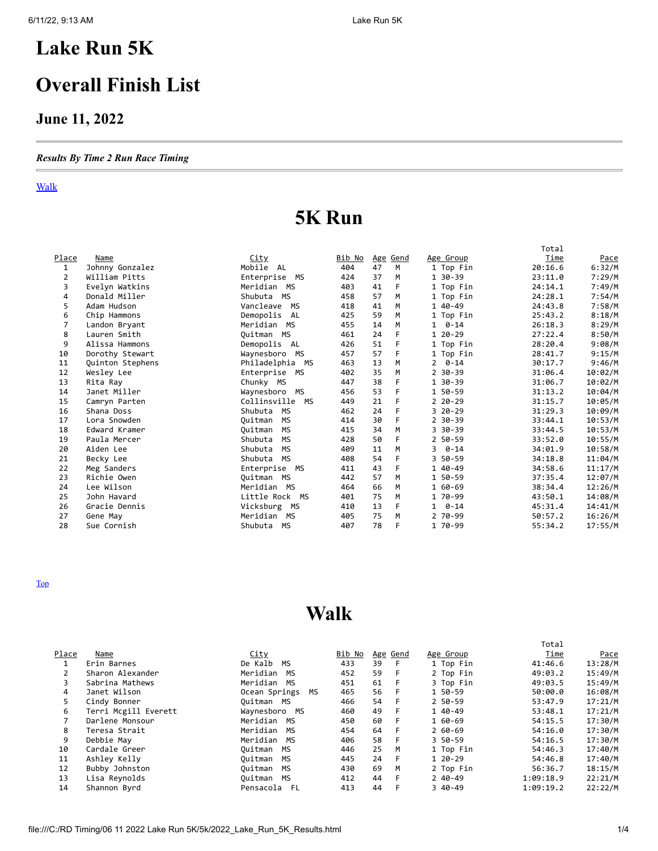## <span id="page-0-1"></span>**Lake Run 5K**

## **Overall Finish List**

### **June 11, 2022**

#### *Results By Time 2 Run Race Timing*

#### [Walk](#page-0-0)

# **5K Run**

|              |                  |                      |               |    |                 |                | Total       |             |
|--------------|------------------|----------------------|---------------|----|-----------------|----------------|-------------|-------------|
| <u>Place</u> | Name             | <u>City</u>          | <u>Bib No</u> |    | <u>Age Gend</u> | Age Group      | <b>Time</b> | <u>Pace</u> |
| 1            | Johnny Gonzalez  | Mobile AL            | 404           | 47 | M               | 1 Top Fin      | 20:16.6     | 6:32/M      |
| 2            | William Pitts    | Enterprise MS        | 424           | 37 | M               | 1 30-39        | 23:11.0     | 7:29/M      |
| 3            | Evelyn Watkins   | Meridian MS          | 403           | 41 | F               | 1 Top Fin      | 24:14.1     | 7:49/M      |
| 4            | Donald Miller    | Shubuta MS           | 458           | 57 | M               | 1 Top Fin      | 24:28.1     | 7:54/M      |
| 5            | Adam Hudson      | Vancleave MS         | 418           | 41 | M               | 1 40-49        | 24:43.8     | 7:58/M      |
| 6            | Chip Hammons     | Demopolis<br>AL      | 425           | 59 | M               | 1 Top Fin      | 25:43.2     | 8:18/M      |
| 7            | Landon Bryant    | Meridian MS          | 455           | 14 | M               | $1 \quad 0-14$ | 26:18.3     | 8:29/M      |
| 8            | Lauren Smith     | Ouitman MS           | 461           | 24 | F               | $120-29$       | 27:22.4     | 8:50/M      |
| 9            | Alissa Hammons   | Demopolis AL         | 426           | 51 | F               | 1 Top Fin      | 28:20.4     | 9:08/M      |
| 10           | Dorothy Stewart  | Waynesboro MS        | 457           | 57 | F               | 1 Top Fin      | 28:41.7     | 9:15/M      |
| 11           | Quinton Stephens | Philadelphia MS      | 463           | 13 | M               | $2 \quad 0-14$ | 30:17.7     | 9:46/M      |
| 12           | Wesley Lee       | Enterprise MS        | 402           | 35 | M               | $2.30 - 39$    | 31:06.4     | 10:02/M     |
| 13           | Rita Ray         | Chunky MS            | 447           | 38 | F               | 1 30-39        | 31:06.7     | 10:02/M     |
| 14           | Janet Miller     | Waynesboro MS        | 456           | 53 | F               | 1 50-59        | 31:13.2     | 10:04/M     |
| 15           | Camryn Parten    | Collinsville MS      | 449           | 21 | F               | $220 - 29$     | 31:15.7     | 10:05/M     |
| 16           | Shana Doss       | Shubuta<br>MS        | 462           | 24 | F               | $320 - 29$     | 31:29.3     | 10:09/M     |
| 17           | Lora Snowden     | MS<br>Ouitman        | 414           | 30 | F               | $2.30 - 39$    | 33:44.1     | 10:53/M     |
| 18           | Edward Kramer    | Ouitman<br><b>MS</b> | 415           | 34 | M               | 3 30-39        | 33:44.5     | 10:53/M     |
| 19           | Paula Mercer     | Shubuta<br>MS        | 428           | 50 | F.              | 2 50-59        | 33:52.0     | 10:55/M     |
| 20           | Aiden Lee        | Shubuta<br>МS        | 409           | 11 | M               | $3 \quad 0-14$ | 34:01.9     | 10:58/M     |
| 21           | Becky Lee        | <b>MS</b><br>Shubuta | 408           | 54 | F               | 3 50-59        | 34:18.8     | 11:04/M     |
| 22           | Meg Sanders      | Enterprise MS        | 411           | 43 | F               | 1 40-49        | 34:58.6     | 11:17/M     |
| 23           | Richie Owen      | Quitman MS           | 442           | 57 | M               | 1 50-59        | 37:35.4     | 12:07/M     |
| 24           | Lee Wilson       | Meridian MS          | 464           | 66 | M               | 1 60-69        | 38:34.4     | 12:26/M     |
| 25           | John Havard      | Little Rock MS       | 401           | 75 | M               | 1 70-99        | 43:50.1     | 14:08/M     |
| 26           | Gracie Dennis    | Vicksburg MS         | 410           | 13 | F               | $1 \quad 0-14$ | 45:31.4     | 14:41/M     |
| 27           | Gene May         | Meridian MS          | 405           | 75 | M               | 2 70-99        | 50:57.2     | 16:26/M     |
| 28           | Sue Cornish      | Shubuta MS           | 407           | 78 | F               | 1 70-99        | 55:34.2     | 17:55/M     |

<span id="page-0-0"></span>[Top](#page-0-1)

## **Walk**

|       |                      |                   |               |    |                 |            | Total     |             |
|-------|----------------------|-------------------|---------------|----|-----------------|------------|-----------|-------------|
| Place | Name                 | <u>City</u>       | <u>Bib No</u> |    | <u>Age Gend</u> | Age Group  | Time      | <u>Pace</u> |
|       | Erin Barnes          | De Kalb<br>MS     | 433           | 39 | - F             | 1 Top Fin  | 41:46.6   | 13:28/M     |
| 2     | Sharon Alexander     | Meridian MS       | 452           | 59 | F.              | 2 Top Fin  | 49:03.2   | 15:49/M     |
| 3     | Sabrina Mathews      | Meridian MS       | 451           | 61 | - F             | 3 Top Fin  | 49:03.5   | 15:49/M     |
| 4     | Janet Wilson         | Ocean Springs MS  | 465           | 56 | - F             | 1 50-59    | 50:00.0   | 16:08/M     |
| 5.    | Cindy Bonner         | Ouitman MS        | 466           | 54 | - F             | 2 50-59    | 53:47.9   | 17:21/M     |
| 6     | Terri Mcgill Everett | Waynesboro MS     | 460           | 49 | F.              | 1 40-49    | 53:48.1   | 17:21/M     |
|       | Darlene Monsour      | Meridian MS       | 450           | 60 | -F              | 1 60-69    | 54:15.5   | 17:30/M     |
| 8     | Teresa Strait        | Meridian MS       | 454           | 64 | - F             | $260 - 69$ | 54:16.0   | 17:30/M     |
| 9     | Debbie May           | Meridian MS       | 406           | 58 | -F              | 3 50-59    | 54:16.5   | 17:30/M     |
| 10    | Cardale Greer        | Ouitman<br>MS     | 446           | 25 | M               | 1 Top Fin  | 54:46.3   | 17:40/M     |
| 11    | Ashley Kelly         | Ouitman<br>MS     | 445           | 24 | -F              | 1 20-29    | 54:46.8   | 17:40/M     |
| 12    | Bubby Johnston       | Ouitman<br>MS     | 430           | 69 | M               | 2 Top Fin  | 56:36.7   | 18:15/M     |
| 13    | Lisa Reynolds        | Ouitman<br>MS     | 412           | 44 | -F              | $240-49$   | 1:09:18.9 | 22:21/M     |
| 14    | Shannon Byrd         | Pensacola<br>- FL | 413           | 44 |                 | $340-49$   | 1:09:19.2 | 22:22/M     |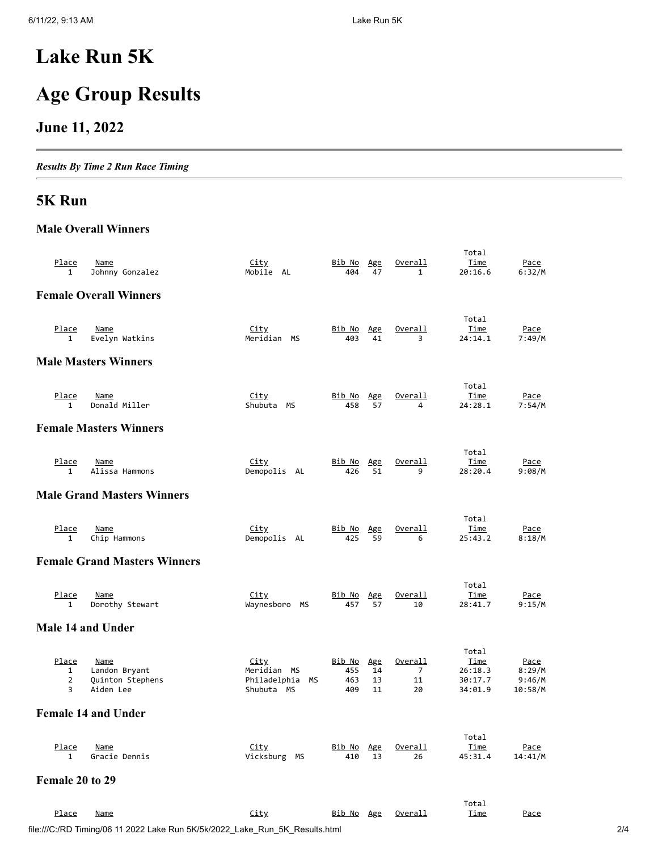# **Lake Run 5K**

# **Age Group Results**

### **June 11, 2022**

*Results By Time 2 Run Race Timing*

### **5K Run**

#### **Male Overall Winners**

| <u>Place</u><br>1               | <b>Name</b><br>Johnny Gonzalez                         | <u>City</u><br>Mobile AL                                       | <u>Bib No</u><br>404        | Age<br>47             | Overall<br>$\mathbf{1}$               | Total<br>Time<br>20:16.6                       | <u>Pace</u><br>6:32/M                      |
|---------------------------------|--------------------------------------------------------|----------------------------------------------------------------|-----------------------------|-----------------------|---------------------------------------|------------------------------------------------|--------------------------------------------|
|                                 | <b>Female Overall Winners</b>                          |                                                                |                             |                       |                                       |                                                |                                            |
| Place<br>$\mathbf{1}$           | <b>Name</b><br>Evelyn Watkins                          | <u>City</u><br>Meridian MS                                     | <u>Bib No</u><br>403        | Age<br>41             | Overall<br>3                          | Total<br>Time<br>24:14.1                       | <u>Pace</u><br>7:49/M                      |
|                                 | <b>Male Masters Winners</b>                            |                                                                |                             |                       |                                       |                                                |                                            |
| Place<br>$\mathbf{1}$           | <b>Name</b><br>Donald Miller                           | <u>City</u><br>Shubuta<br>МS                                   | Bib No<br>458               | Age<br>57             | Overall<br>4                          | Total<br>Time<br>24:28.1                       | Pace<br>7:54/M                             |
|                                 | <b>Female Masters Winners</b>                          |                                                                |                             |                       |                                       |                                                |                                            |
| Place<br>1                      | Name<br>Alissa Hammons                                 | <u>City</u><br>Demopolis AL                                    | <u>Bib No</u><br>426        | Age<br>51             | Overall<br>9                          | Total<br>Time<br>28:20.4                       | <u>Pace</u><br>9:08/M                      |
|                                 | <b>Male Grand Masters Winners</b>                      |                                                                |                             |                       |                                       |                                                |                                            |
| Place<br>$\mathbf{1}$           | <b>Name</b><br>Chip Hammons                            | City<br>Demopolis AL                                           | Bib No<br>425               | Age<br>59             | Overall<br>6                          | Total<br>Time<br>25:43.2                       | Pace<br>8:18/M                             |
|                                 | <b>Female Grand Masters Winners</b>                    |                                                                |                             |                       |                                       |                                                |                                            |
| Place<br>$\mathbf{1}$           | <b>Name</b><br>Dorothy Stewart                         | <u>City</u><br>Waynesboro<br>МS                                | Bib No<br>457               | Age<br>57             | <u>Overall</u><br>10                  | Total<br><u>Time</u><br>28:41.7                | <u>Pace</u><br>9:15/M                      |
| Male 14 and Under               |                                                        |                                                                |                             |                       |                                       |                                                |                                            |
| Place<br>$\mathbf{1}$<br>2<br>3 | Name<br>Landon Bryant<br>Quinton Stephens<br>Aiden Lee | <u>City</u><br>Meridian MS<br>Philadelphia<br>МS<br>Shubuta MS | Bib No<br>455<br>463<br>409 | Age<br>14<br>13<br>11 | Overall<br>$\overline{7}$<br>11<br>20 | Total<br>Time<br>26:18.3<br>30:17.7<br>34:01.9 | <u>Pace</u><br>8:29/M<br>9:46/M<br>10:58/M |
|                                 | <b>Female 14 and Under</b>                             |                                                                |                             |                       |                                       |                                                |                                            |
| <u>Place</u><br>$\mathbf{1}$    | <u>Name</u><br>Gracie Dennis                           | City<br>Vicksburg MS                                           | <u>Bib No</u><br>410        | Age<br>13             | <u>Overall</u><br>26                  | Total<br><u>Time</u><br>45:31.4                | <u>Pace</u><br>14:41/M                     |
| Female 20 to 29                 |                                                        |                                                                |                             |                       |                                       |                                                |                                            |
| Place                           | <u>Name</u>                                            | <u>City</u>                                                    | Bib No Age                  |                       | <u>Overall</u>                        | Total<br>Time                                  | Pace                                       |

| <u>.</u><br>---------                                                        | --- | <u>_____</u> | ------ |     |
|------------------------------------------------------------------------------|-----|--------------|--------|-----|
|                                                                              |     |              |        |     |
| file:///C:/RD Timing/06 11 2022 Lake Run 5K/5k/2022 Lake Run 5K Results.html |     |              |        | 2/4 |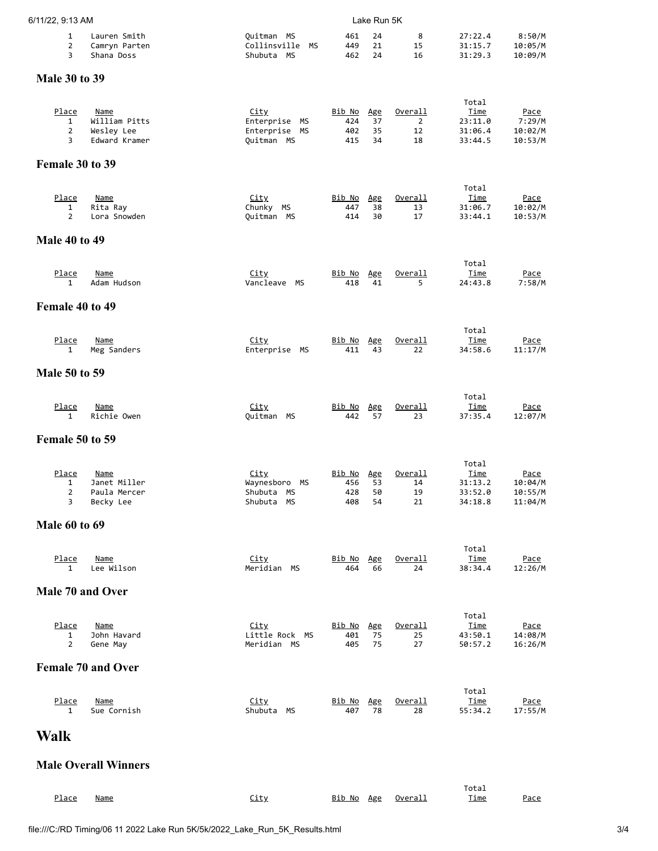| 6/11/22, 9:13 AM                    |                                                      |                                                                | Lake Run 5K                        |                              |                                       |                                                       |                                              |  |  |
|-------------------------------------|------------------------------------------------------|----------------------------------------------------------------|------------------------------------|------------------------------|---------------------------------------|-------------------------------------------------------|----------------------------------------------|--|--|
| $\mathbf{1}$<br>$\overline{2}$<br>3 | Lauren Smith<br>Camryn Parten<br>Shana Doss          | Quitman MS<br>Collinsville<br>MS<br>Shubuta MS                 | 461<br>449<br>462                  | 24<br>21<br>24               | 8<br>15<br>16                         | 27:22.4<br>31:15.7<br>31:29.3                         | 8:50/M<br>10:05/M<br>10:09/M                 |  |  |
| <b>Male 30 to 39</b>                |                                                      |                                                                |                                    |                              |                                       |                                                       |                                              |  |  |
| Place<br>$\mathbf{1}$<br>2<br>3     | Name<br>William Pitts<br>Wesley Lee<br>Edward Kramer | <u>City</u><br>Enterprise<br>МS<br>Enterprise MS<br>Quitman MS | <u>Bib No</u><br>424<br>402<br>415 | <u>Age</u><br>37<br>35<br>34 | Overall<br>$\overline{2}$<br>12<br>18 | Total<br>Time<br>23:11.0<br>31:06.4<br>33:44.5        | <u>Pace</u><br>7:29/M<br>10:02/M<br>10:53/M  |  |  |
| Female 30 to 39                     |                                                      |                                                                |                                    |                              |                                       |                                                       |                                              |  |  |
| Place<br>1<br>$\overline{2}$        | <b>Name</b><br>Rita Ray<br>Lora Snowden              | <u>City</u><br>Chunky MS<br>Quitman MS                         | <u>Bib No</u><br>447<br>414        | Age<br>38<br>30              | Overall<br>13<br>17                   | Total<br>Time<br>31:06.7<br>33:44.1                   | <u>Pace</u><br>10:02/M<br>10:53/M            |  |  |
| <b>Male 40 to 49</b>                |                                                      |                                                                |                                    |                              |                                       |                                                       |                                              |  |  |
| Place<br>$\mathbf{1}$               | Name<br>Adam Hudson                                  | <u>City</u><br>Vancleave MS                                    | Bib No<br>418                      | Age<br>41                    | Overall<br>5                          | Total<br><u>Time</u><br>24:43.8                       | <u>Pace</u><br>7:58/M                        |  |  |
| Female 40 to 49                     |                                                      |                                                                |                                    |                              |                                       |                                                       |                                              |  |  |
| Place<br>$\mathbf{1}$               | Name<br>Meg Sanders                                  | <u>City</u><br>Enterprise<br>МS                                | <u>Bib No</u><br>411               | Age<br>43                    | Overall<br>22                         | Total<br>Time<br>34:58.6                              | <u>Pace</u><br>11:17/M                       |  |  |
| <b>Male 50 to 59</b>                |                                                      |                                                                |                                    |                              |                                       |                                                       |                                              |  |  |
| <u>Place</u><br>$\mathbf{1}$        | <b>Name</b><br>Richie Owen                           | <u>City</u><br>Quitman MS                                      | <u>Bib No</u><br>442               | Age<br>57                    | <u>Overall</u><br>23                  | Total<br>Time<br>37:35.4                              | <u>Pace</u><br>12:07/M                       |  |  |
| Female 50 to 59                     |                                                      |                                                                |                                    |                              |                                       |                                                       |                                              |  |  |
| Place<br>1<br>2<br>3                | Name<br>Janet Miller<br>Paula Mercer<br>Becky Lee    | <u>City</u><br>Waynesboro MS<br>Shubuta MS<br>Shubuta MS       | Bib No<br>456<br>428<br>408        | <u>Age</u><br>53<br>50<br>54 | Overall<br>14<br>19<br>21             | Total<br><u>Time</u><br>31:13.2<br>33:52.0<br>34:18.8 | <u>Pace</u><br>10:04/M<br>10:55/M<br>11:04/M |  |  |
| <b>Male 60 to 69</b>                |                                                      |                                                                |                                    |                              |                                       |                                                       |                                              |  |  |
| <u>Place</u><br>$\mathbf{1}$        | <u>Name</u><br>Lee Wilson                            | City<br>Meridian MS                                            | <u>Bib No</u><br>464               | Age<br>66                    | Overall<br>24                         | Total<br><u>Time</u><br>38:34.4                       | <u>Pace</u><br>12:26/M                       |  |  |
| Male 70 and Over                    |                                                      |                                                                |                                    |                              |                                       |                                                       |                                              |  |  |
| <u>Place</u><br>1<br>$\overline{2}$ | <b>Name</b><br>John Havard<br>Gene May               | City<br>Little Rock MS<br>Meridian MS                          | <u>Bib No</u><br>401<br>405        | Age<br>75<br>75              | Overall<br>25<br>27                   | Total<br>Time<br>43:50.1<br>50:57.2                   | <u>Pace</u><br>14:08/M<br>16:26/M            |  |  |
|                                     | <b>Female 70 and Over</b>                            |                                                                |                                    |                              |                                       |                                                       |                                              |  |  |
| <u>Place</u><br>$\mathbf{1}$        | <u>Name</u><br>Sue Cornish                           | City<br>Shubuta MS                                             | <u>Bib No</u><br>407               | Age<br>78                    | Overall<br>28                         | Total<br><u>Time</u><br>55:34.2                       | <u>Pace</u><br>17:55/M                       |  |  |
| <b>Walk</b>                         |                                                      |                                                                |                                    |                              |                                       |                                                       |                                              |  |  |
|                                     | <b>Male Overall Winners</b>                          |                                                                |                                    |                              |                                       |                                                       |                                              |  |  |
|                                     |                                                      |                                                                |                                    |                              |                                       | Total                                                 |                                              |  |  |